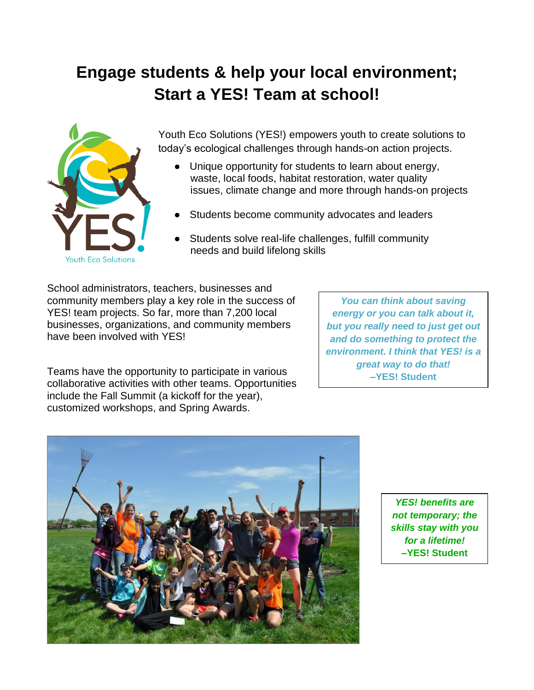# **Engage students & help your local environment; Start a YES! Team at school!**



Youth Eco Solutions (YES!) empowers youth to create solutions to today's ecological challenges through hands-on action projects.

- Unique opportunity for students to learn about energy, waste, local foods, habitat restoration, water quality issues, climate change and more through hands-on projects
- Students become community advocates and leaders
- Students solve real-life challenges, fulfill community needs and build lifelong skills

School administrators, teachers, businesses and community members play a key role in the success of YES! team projects. So far, more than 7,200 local businesses, organizations, and community members have been involved with YES!

*You can think about saving energy or you can talk about it, but you really need to just get out and do something to protect the environment. I think that YES! is a great way to do that!* **–YES! Student**

Teams have the opportunity to participate in various collaborative activities with other teams. Opportunities include the Fall Summit (a kickoff for the year), customized workshops, and Spring Awards.



*YES! benefits are not temporary; the skills stay with you for a lifetime!* **–YES! Student**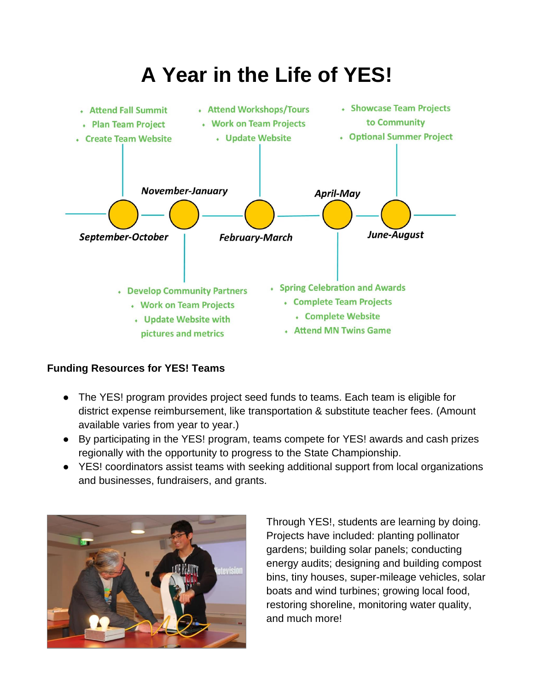

### **Funding Resources for YES! Teams**

- The YES! program provides project seed funds to teams. Each team is eligible for district expense reimbursement, like transportation & substitute teacher fees. (Amount available varies from year to year.)
- By participating in the YES! program, teams compete for YES! awards and cash prizes regionally with the opportunity to progress to the State Championship.
- YES! coordinators assist teams with seeking additional support from local organizations and businesses, fundraisers, and grants.



Through YES!, students are learning by doing. Projects have included: planting pollinator gardens; building solar panels; conducting energy audits; designing and building compost bins, tiny houses, super-mileage vehicles, solar boats and wind turbines; growing local food, restoring shoreline, monitoring water quality, and much more!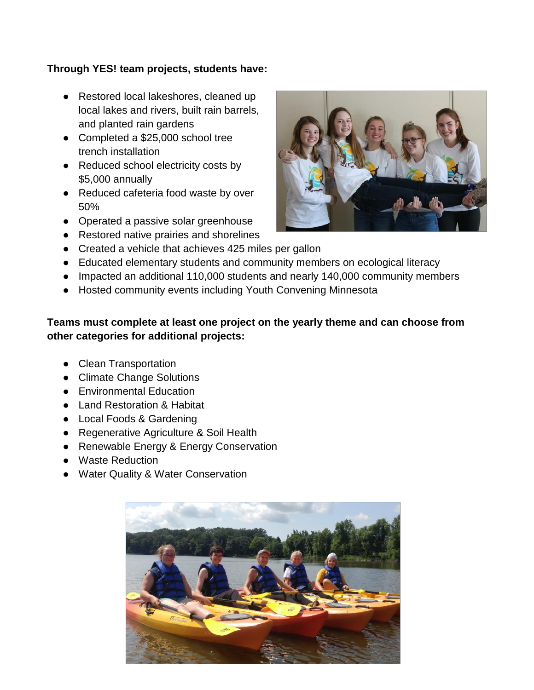#### **Through YES! team projects, students have:**

- Restored local lakeshores, cleaned up local lakes and rivers, built rain barrels, and planted rain gardens
- Completed a \$25,000 school tree trench installation
- Reduced school electricity costs by \$5,000 annually
- Reduced cafeteria food waste by over 50%
- Operated a passive solar greenhouse
- Restored native prairies and shorelines
- Created a vehicle that achieves 425 miles per gallon
- Educated elementary students and community members on ecological literacy
- Impacted an additional 110,000 students and nearly 140,000 community members
- Hosted community events including Youth Convening Minnesota

#### **Teams must complete at least one project on the yearly theme and can choose from other categories for additional projects:**

- Clean Transportation
- Climate Change Solutions
- Environmental Education
- Land Restoration & Habitat
- Local Foods & Gardening
- Regenerative Agriculture & Soil Health
- Renewable Energy & Energy Conservation
- Waste Reduction
- Water Quality & Water Conservation